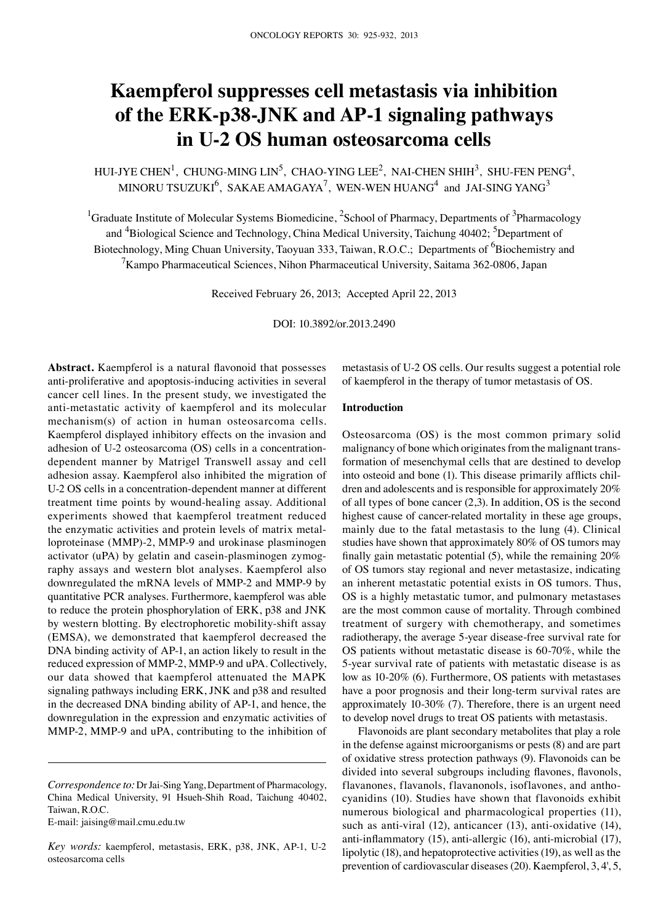# **Kaempferol suppresses cell metastasis via inhibition of the ERK-p38-JNK and AP-1 signaling pathways in U-2 OS human osteosarcoma cells**

HUI-JYE CHEN<sup>1</sup>, CHUNG-MING LIN<sup>5</sup>, CHAO-YING LEE<sup>2</sup>, NAI-CHEN SHIH<sup>3</sup>, SHU-FEN PENG<sup>4</sup>, MINORU TSUZUKI $^6$ , SAKAE AMAGAYA<sup>7</sup>, WEN-WEN HUANG<sup>4</sup> and JAI-SING YANG<sup>3</sup>

<sup>1</sup>Graduate Institute of Molecular Systems Biomedicine, <sup>2</sup>School of Pharmacy, Departments of <sup>3</sup>Pharmacology and <sup>4</sup>Biological Science and Technology, China Medical University, Taichung 40402; <sup>5</sup>Department of Biotechnology, Ming Chuan University, Taoyuan 333, Taiwan, R.O.C.; Departments of <sup>6</sup>Biochemistry and  $^{7}$ Kampo Pharmaceutical Sciences, Nihon Pharmaceutical University, Saitama 362-0806, Japan

Received February 26, 2013; Accepted April 22, 2013

DOI: 10.3892/or.2013.2490

**Abstract.** Kaempferol is a natural flavonoid that possesses anti-proliferative and apoptosis-inducing activities in several cancer cell lines. In the present study, we investigated the anti-metastatic activity of kaempferol and its molecular mechanism(s) of action in human osteosarcoma cells. Kaempferol displayed inhibitory effects on the invasion and adhesion of U-2 osteosarcoma (OS) cells in a concentrationdependent manner by Matrigel Transwell assay and cell adhesion assay. Kaempferol also inhibited the migration of U-2 OS cells in a concentration-dependent manner at different treatment time points by wound-healing assay. Additional experiments showed that kaempferol treatment reduced the enzymatic activities and protein levels of matrix metalloproteinase (MMP)-2, MMP-9 and urokinase plasminogen activator (uPA) by gelatin and casein-plasminogen zymography assays and western blot analyses. Kaempferol also downregulated the mRNA levels of MMP-2 and MMP-9 by quantitative PCR analyses. Furthermore, kaempferol was able to reduce the protein phosphorylation of ERK, p38 and JNK by western blotting. By electrophoretic mobility-shift assay (EMSA), we demonstrated that kaempferol decreased the DNA binding activity of AP-1, an action likely to result in the reduced expression of MMP-2, MMP-9 and uPA. Collectively, our data showed that kaempferol attenuated the MAPK signaling pathways including ERK, JNK and p38 and resulted in the decreased DNA binding ability of AP-1, and hence, the downregulation in the expression and enzymatic activities of MMP-2, MMP-9 and uPA, contributing to the inhibition of

E-mail: jaising@mail.cmu.edu.tw

*Key words:* kaempferol, metastasis, ERK, p38, JNK, AP-1, U-2 osteosarcoma cells

metastasis of U-2 OS cells. Our results suggest a potential role of kaempferol in the therapy of tumor metastasis of OS.

# **Introduction**

Osteosarcoma (OS) is the most common primary solid malignancy of bone which originates from the malignant transformation of mesenchymal cells that are destined to develop into osteoid and bone (1). This disease primarily afflicts children and adolescents and is responsible for approximately 20% of all types of bone cancer (2,3). In addition, OS is the second highest cause of cancer-related mortality in these age groups, mainly due to the fatal metastasis to the lung (4). Clinical studies have shown that approximately 80% of OS tumors may finally gain metastatic potential (5), while the remaining 20% of OS tumors stay regional and never metastasize, indicating an inherent metastatic potential exists in OS tumors. Thus, OS is a highly metastatic tumor, and pulmonary metastases are the most common cause of mortality. Through combined treatment of surgery with chemotherapy, and sometimes radiotherapy, the average 5-year disease-free survival rate for OS patients without metastatic disease is 60-70%, while the 5-year survival rate of patients with metastatic disease is as low as 10-20% (6). Furthermore, OS patients with metastases have a poor prognosis and their long-term survival rates are approximately 10-30% (7). Therefore, there is an urgent need to develop novel drugs to treat OS patients with metastasis.

Flavonoids are plant secondary metabolites that play a role in the defense against microorganisms or pests (8) and are part of oxidative stress protection pathways (9). Flavonoids can be divided into several subgroups including flavones, flavonols, flavanones, flavanols, flavanonols, isoflavones, and anthocyanidins (10). Studies have shown that flavonoids exhibit numerous biological and pharmacological properties (11), such as anti-viral (12), anticancer (13), anti-oxidative (14), anti-inflammatory (15), anti-allergic (16), anti-microbial (17), lipolytic (18), and hepatoprotective activities (19), as well as the prevention of cardiovascular diseases (20). Kaempferol, 3, 4', 5,

*Correspondence to:* Dr Jai-Sing Yang, Department of Pharmacology, China Medical University, 91 Hsueh‑Shih Road, Taichung 40402, Taiwan, R.O.C.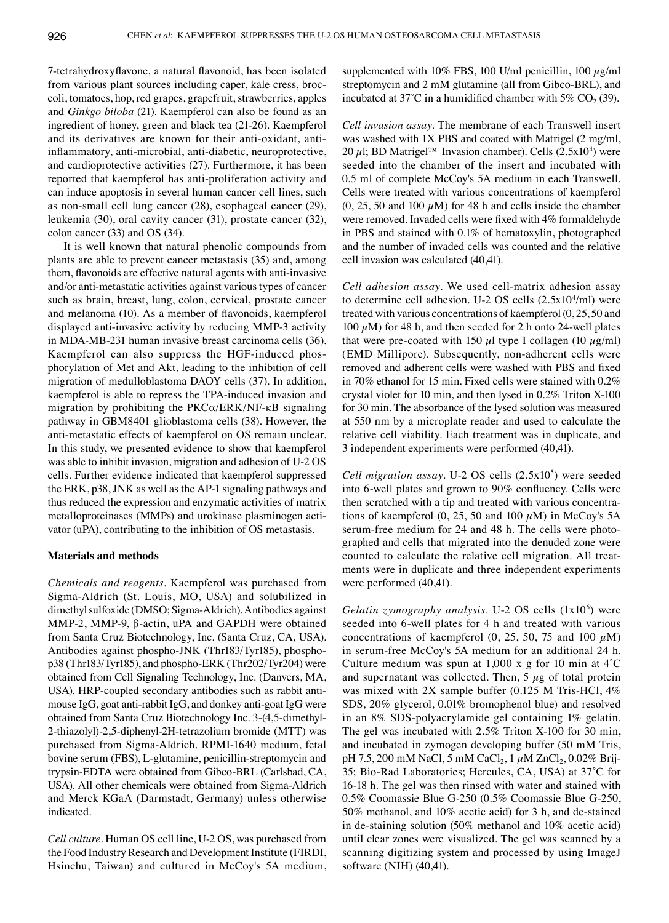7-tetrahydroxyflavone, a natural flavonoid, has been isolated from various plant sources including caper, kale cress, broccoli, tomatoes, hop, red grapes, grapefruit, strawberries, apples and *Ginkgo biloba* (21). Kaempferol can also be found as an ingredient of honey, green and black tea (21-26). Kaempferol and its derivatives are known for their anti-oxidant, antiinflammatory, anti-microbial, anti-diabetic, neuroprotective, and cardioprotective activities (27). Furthermore, it has been reported that kaempferol has anti-proliferation activity and can induce apoptosis in several human cancer cell lines, such as non-small cell lung cancer (28), esophageal cancer (29), leukemia (30), oral cavity cancer (31), prostate cancer (32), colon cancer (33) and OS (34).

It is well known that natural phenolic compounds from plants are able to prevent cancer metastasis (35) and, among them, flavonoids are effective natural agents with anti-invasive and/or anti-metastatic activities against various types of cancer such as brain, breast, lung, colon, cervical, prostate cancer and melanoma (10). As a member of flavonoids, kaempferol displayed anti-invasive activity by reducing MMP-3 activity in MDA‑MB‑231 human invasive breast carcinoma cells (36). Kaempferol can also suppress the HGF-induced phosphorylation of Met and Akt, leading to the inhibition of cell migration of medulloblastoma DAOY cells (37). In addition, kaempferol is able to repress the TPA-induced invasion and migration by prohibiting the  $PKC\alpha/ERK/NF-\kappa B$  signaling pathway in GBM8401 glioblastoma cells (38). However, the anti-metastatic effects of kaempferol on OS remain unclear. In this study, we presented evidence to show that kaempferol was able to inhibit invasion, migration and adhesion of U-2 OS cells. Further evidence indicated that kaempferol suppressed the ERK, p38, JNK as well as the AP-1 signaling pathways and thus reduced the expression and enzymatic activities of matrix metalloproteinases (MMPs) and urokinase plasminogen activator (uPA), contributing to the inhibition of OS metastasis.

### **Materials and methods**

*Chemicals and reagents.* Kaempferol was purchased from Sigma-Aldrich (St. Louis, MO, USA) and solubilized in dimethyl sulfoxide (DMSO; Sigma-Aldrich). Antibodies against MMP-2, MMP-9, β-actin, uPA and GAPDH were obtained from Santa Cruz Biotechnology, Inc. (Santa Cruz, CA, USA). Antibodies against phospho-JNK (Thr183/Tyr185), phosphop38 (Thr183/Tyr185), and phospho-ERK (Thr202/Tyr204) were obtained from Cell Signaling Technology, Inc. (Danvers, MA, USA). HRP-coupled secondary antibodies such as rabbit antimouse IgG, goat anti-rabbit IgG, and donkey anti-goat IgG were obtained from Santa Cruz Biotechnology Inc. 3-(4,5-dimethyl-2-thiazolyl)-2,5-diphenyl-2H-tetrazolium bromide (MTT) was purchased from Sigma-Aldrich. RPMI‑1640 medium, fetal bovine serum (FBS), L-glutamine, penicillin-streptomycin and trypsin-EDTA were obtained from Gibco-BRL (Carlsbad, CA, USA). All other chemicals were obtained from Sigma-Aldrich and Merck KGaA (Darmstadt, Germany) unless otherwise indicated.

*Cell culture.* Human OS cell line, U-2 OS, was purchased from the Food Industry Research and Development Institute (FIRDI, Hsinchu, Taiwan) and cultured in McCoy's 5A medium, supplemented with 10% FBS, 100 U/ml penicillin, 100  $\mu$ g/ml streptomycin and 2 mM glutamine (all from Gibco-BRL), and incubated at  $37^{\circ}$ C in a humidified chamber with  $5\%$  CO<sub>2</sub> (39).

*Cell invasion assay.* The membrane of each Transwell insert was washed with 1X PBS and coated with Matrigel (2 mg/ml, 20  $\mu$ l; BD Matrigel™ Invasion chamber). Cells (2.5x10<sup>4</sup>) were seeded into the chamber of the insert and incubated with 0.5 ml of complete McCoy's 5A medium in each Transwell. Cells were treated with various concentrations of kaempferol  $(0, 25, 50$  and  $100 \mu M$ ) for 48 h and cells inside the chamber were removed. Invaded cells were fixed with 4% formaldehyde in PBS and stained with 0.1% of hematoxylin, photographed and the number of invaded cells was counted and the relative cell invasion was calculated (40,41).

*Cell adhesion assay.* We used cell-matrix adhesion assay to determine cell adhesion. U-2 OS cells  $(2.5x10<sup>4</sup>/ml)$  were treated with various concentrations of kaempferol (0, 25, 50 and 100  $\mu$ M) for 48 h, and then seeded for 2 h onto 24-well plates that were pre-coated with 150  $\mu$ l type I collagen (10  $\mu$ g/ml) (EMD Millipore). Subsequently, non-adherent cells were removed and adherent cells were washed with PBS and fixed in 70% ethanol for 15 min. Fixed cells were stained with 0.2% crystal violet for 10 min, and then lysed in 0.2% Triton X-100 for 30 min. The absorbance of the lysed solution was measured at 550 nm by a microplate reader and used to calculate the relative cell viability. Each treatment was in duplicate, and 3 independent experiments were performed (40,41).

*Cell migration assay.* U-2 OS cells  $(2.5x10<sup>5</sup>)$  were seeded into 6-well plates and grown to 90% confluency. Cells were then scratched with a tip and treated with various concentrations of kaempferol  $(0, 25, 50$  and  $100 \mu M$ ) in McCoy's 5A serum-free medium for 24 and 48 h. The cells were photographed and cells that migrated into the denuded zone were counted to calculate the relative cell migration. All treatments were in duplicate and three independent experiments were performed (40,41).

Gelatin zymography analysis. U-2 OS cells (1x10<sup>6</sup>) were seeded into 6-well plates for 4 h and treated with various concentrations of kaempferol  $(0, 25, 50, 75, 40, 100, \mu M)$ in serum-free McCoy's 5A medium for an additional 24 h. Culture medium was spun at  $1,000 \times g$  for 10 min at  $4^{\circ}$ C and supernatant was collected. Then,  $5 \mu g$  of total protein was mixed with 2X sample buffer (0.125 M Tris-HCl, 4% SDS, 20% glycerol, 0.01% bromophenol blue) and resolved in an 8% SDS-polyacrylamide gel containing 1% gelatin. The gel was incubated with 2.5% Triton X-100 for 30 min, and incubated in zymogen developing buffer (50 mM Tris, pH 7.5, 200 mM NaCl, 5 mM CaCl<sub>2</sub>, 1  $\mu$ M ZnCl<sub>2</sub>, 0.02% Brij-35; Bio-Rad Laboratories; Hercules, CA, USA) at 37˚C for 16-18 h. The gel was then rinsed with water and stained with 0.5% Coomassie Blue G-250 (0.5% Coomassie Blue G-250, 50% methanol, and 10% acetic acid) for 3 h, and de-stained in de-staining solution (50% methanol and 10% acetic acid) until clear zones were visualized. The gel was scanned by a scanning digitizing system and processed by using ImageJ software (NIH) (40,41).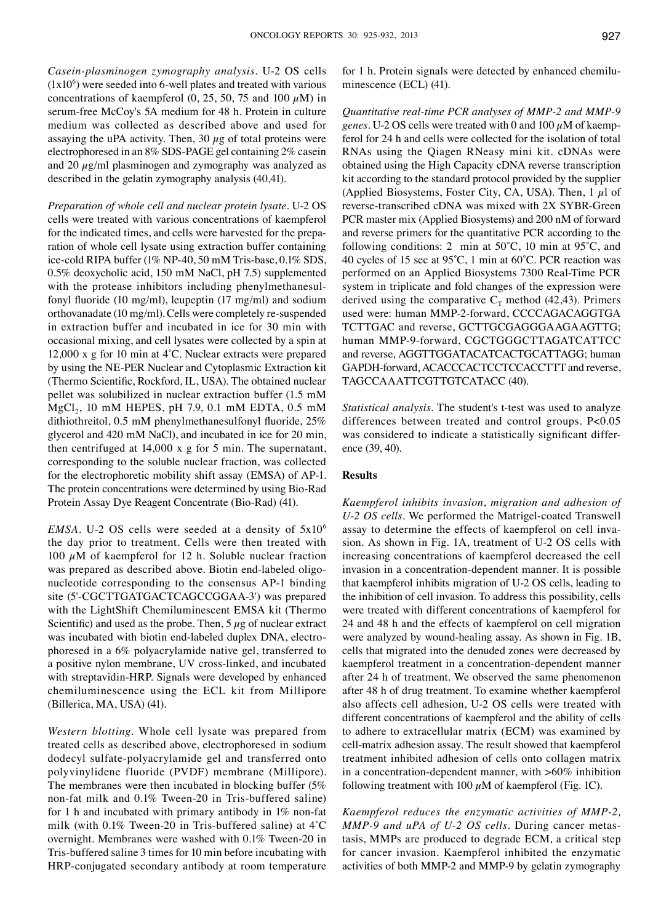*Casein-plasminogen zymography analysis.* U-2 OS cells  $(1x10<sup>6</sup>)$  were seeded into 6-well plates and treated with various concentrations of kaempferol (0, 25, 50, 75 and 100  $\mu$ M) in serum-free McCoy's 5A medium for 48 h. Protein in culture medium was collected as described above and used for assaying the uPA activity. Then,  $30 \mu$ g of total proteins were electrophoresed in an 8% SDS-PAGE gel containing 2% casein and 20  $\mu$ g/ml plasminogen and zymography was analyzed as described in the gelatin zymography analysis (40,41).

*Preparation of whole cell and nuclear protein lysate.* U-2 OS cells were treated with various concentrations of kaempferol for the indicated times, and cells were harvested for the preparation of whole cell lysate using extraction buffer containing ice-cold RIPA buffer (1% NP-40, 50 mM Tris-base, 0.1% SDS, 0.5% deoxycholic acid, 150 mM NaCl, pH 7.5) supplemented with the protease inhibitors including phenylmethanesulfonyl fluoride (10 mg/ml), leupeptin (17 mg/ml) and sodium orthovanadate (10 mg/ml). Cells were completely re-suspended in extraction buffer and incubated in ice for 30 min with occasional mixing, and cell lysates were collected by a spin at 12,000 x g for 10 min at 4˚C. Nuclear extracts were prepared by using the NE-PER Nuclear and Cytoplasmic Extraction kit (Thermo Scientific, Rockford, IL, USA). The obtained nuclear pellet was solubilized in nuclear extraction buffer (1.5 mM  $MgCl<sub>2</sub>$ , 10 mM HEPES, pH 7.9, 0.1 mM EDTA, 0.5 mM dithiothreitol, 0.5 mM phenylmethanesulfonyl fluoride, 25% glycerol and 420 mM NaCl), and incubated in ice for 20 min, then centrifuged at 14,000 x g for 5 min. The supernatant, corresponding to the soluble nuclear fraction, was collected for the electrophoretic mobility shift assay (EMSA) of AP-1. The protein concentrations were determined by using Bio-Rad Protein Assay Dye Reagent Concentrate (Bio‑Rad) (41).

*EMSA.* U-2 OS cells were seeded at a density of  $5x10^6$ the day prior to treatment. Cells were then treated with 100  $\mu$ M of kaempferol for 12 h. Soluble nuclear fraction was prepared as described above. Biotin end-labeled oligonucleotide corresponding to the consensus AP-1 binding site (5'-CGCTTGATGACTCAGCCGGAA-3') was prepared with the LightShift Chemiluminescent EMSA kit (Thermo Scientific) and used as the probe. Then,  $5 \mu$ g of nuclear extract was incubated with biotin end-labeled duplex DNA, electrophoresed in a 6% polyacrylamide native gel, transferred to a positive nylon membrane, UV cross-linked, and incubated with streptavidin-HRP. Signals were developed by enhanced chemiluminescence using the ECL kit from Millipore (Billerica, MA, USA) (41).

*Western blotting.* Whole cell lysate was prepared from treated cells as described above, electrophoresed in sodium dodecyl sulfate-polyacrylamide gel and transferred onto polyvinylidene fluoride (PVDF) membrane (Millipore). The membranes were then incubated in blocking buffer (5% non-fat milk and 0.1% Tween-20 in Tris-buffered saline) for 1 h and incubated with primary antibody in 1% non-fat milk (with 0.1% Tween-20 in Tris-buffered saline) at 4˚C overnight. Membranes were washed with 0.1% Tween-20 in Tris-buffered saline 3 times for 10 min before incubating with HRP-conjugated secondary antibody at room temperature for 1 h. Protein signals were detected by enhanced chemiluminescence (ECL) (41).

*Quantitative real-time PCR analyses of MMP-2 and MMP-9 genes.* U-2 OS cells were treated with 0 and  $100 \mu$ M of kaempferol for 24 h and cells were collected for the isolation of total RNAs using the Qiagen RNeasy mini kit. cDNAs were obtained using the High Capacity cDNA reverse transcription kit according to the standard protocol provided by the supplier (Applied Biosystems, Foster City, CA, USA). Then, 1  $\mu$ l of reverse-transcribed cDNA was mixed with 2X SYBR-Green PCR master mix (Applied Biosystems) and 200 nM of forward and reverse primers for the quantitative PCR according to the following conditions: 2 min at  $50^{\circ}$ C, 10 min at  $95^{\circ}$ C, and 40 cycles of 15 sec at 95˚C, 1 min at 60˚C. PCR reaction was performed on an Applied Biosystems 7300 Real-Time PCR system in triplicate and fold changes of the expression were derived using the comparative  $C_T$  method (42,43). Primers used were: human MMP-2-forward, CCCCAGACAGGTGA TCTTGAC and reverse, GCTTGCGAGGGAAGAAGTTG; human MMP-9-forward, CGCTGGGCTTAGATCATTCC and reverse, AGGTTGGATACATCACTGCATTAGG; human GAPDH-forward, ACACCCACTCCTCCACCTTT and reverse, TAGCCAAATTCGTTGTCATACC (40).

*Statistical analysis.* The student's t-test was used to analyze differences between treated and control groups. P<0.05 was considered to indicate a statistically significant difference (39, 40).

## **Results**

*Kaempferol inhibits invasion, migration and adhesion of U-2 OS cells.* We performed the Matrigel-coated Transwell assay to determine the effects of kaempferol on cell invasion. As shown in Fig. 1A, treatment of U-2 OS cells with increasing concentrations of kaempferol decreased the cell invasion in a concentration-dependent manner. It is possible that kaempferol inhibits migration of U-2 OS cells, leading to the inhibition of cell invasion. To address this possibility, cells were treated with different concentrations of kaempferol for 24 and 48 h and the effects of kaempferol on cell migration were analyzed by wound-healing assay. As shown in Fig. 1B, cells that migrated into the denuded zones were decreased by kaempferol treatment in a concentration-dependent manner after 24 h of treatment. We observed the same phenomenon after 48 h of drug treatment. To examine whether kaempferol also affects cell adhesion, U-2 OS cells were treated with different concentrations of kaempferol and the ability of cells to adhere to extracellular matrix (ECM) was examined by cell-matrix adhesion assay. The result showed that kaempferol treatment inhibited adhesion of cells onto collagen matrix in a concentration-dependent manner, with >60% inhibition following treatment with 100  $\mu$ M of kaempferol (Fig. 1C).

*Kaempferol reduces the enzymatic activities of MMP-2, MMP-9 and uPA of U-2 OS cells.* During cancer metastasis, MMPs are produced to degrade ECM, a critical step for cancer invasion. Kaempferol inhibited the enzymatic activities of both MMP-2 and MMP-9 by gelatin zymography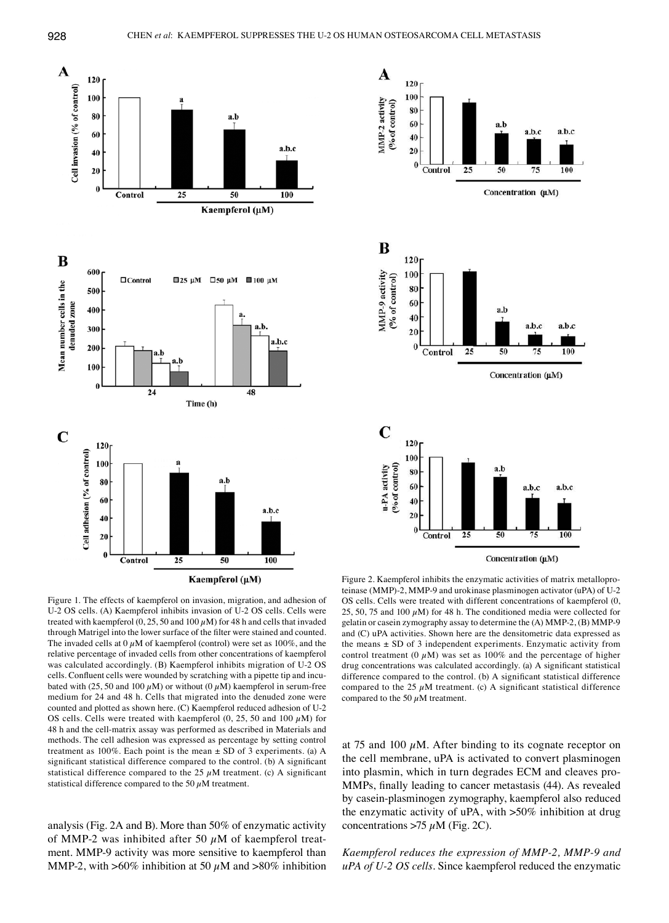

Kaempferol (μM)

Figure 1. The effects of kaempferol on invasion, migration, and adhesion of U-2 OS cells. (A) Kaempferol inhibits invasion of U-2 OS cells. Cells were treated with kaempferol  $(0, 25, 50$  and  $100 \mu M$ ) for 48 h and cells that invaded through Matrigel into the lower surface of the filter were stained and counted. The invaded cells at 0  $\mu$ M of kaempferol (control) were set as 100%, and the relative percentage of invaded cells from other concentrations of kaempferol was calculated accordingly. (B) Kaempferol inhibits migration of U-2 OS cells. Confluent cells were wounded by scratching with a pipette tip and incubated with (25, 50 and 100  $\mu$ M) or without (0  $\mu$ M) kaempferol in serum-free medium for 24 and 48 h. Cells that migrated into the denuded zone were counted and plotted as shown here. (C) Kaempferol reduced adhesion of U-2 OS cells. Cells were treated with kaempferol  $(0, 25, 50, 100, \mu M)$  for 48 h and the cell-matrix assay was performed as described in Materials and methods. The cell adhesion was expressed as percentage by setting control treatment as  $100\%$ . Each point is the mean  $\pm$  SD of 3 experiments. (a) A significant statistical difference compared to the control. (b) A significant statistical difference compared to the 25  $\mu$ M treatment. (c) A significant statistical difference compared to the 50  $\mu$ M treatment.

analysis (Fig. 2A and B). More than 50% of enzymatic activity of MMP-2 was inhibited after 50  $\mu$ M of kaempferol treatment. MMP-9 activity was more sensitive to kaempferol than MMP-2, with  $>60\%$  inhibition at 50  $\mu$ M and  $>80\%$  inhibition



Figure 2. Kaempferol inhibits the enzymatic activities of matrix metalloproteinase (MMP)-2, MMP-9 and urokinase plasminogen activator (uPA) of U-2 OS cells. Cells were treated with different concentrations of kaempferol (0, 25, 50, 75 and 100  $\mu$ M) for 48 h. The conditioned media were collected for gelatin or casein zymography assay to determine the (A) MMP-2, (B) MMP-9 and (C) uPA activities. Shown here are the densitometric data expressed as the means  $\pm$  SD of 3 independent experiments. Enzymatic activity from control treatment (0  $\mu$ M) was set as 100% and the percentage of higher drug concentrations was calculated accordingly. (a) A significant statistical difference compared to the control. (b) A significant statistical difference compared to the 25  $\mu$ M treatment. (c) A significant statistical difference compared to the 50  $\mu$ M treatment.

at 75 and 100  $\mu$ M. After binding to its cognate receptor on the cell membrane, uPA is activated to convert plasminogen into plasmin, which in turn degrades ECM and cleaves pro-MMPs, finally leading to cancer metastasis (44). As revealed by casein-plasminogen zymography, kaempferol also reduced the enzymatic activity of uPA, with >50% inhibition at drug concentrations >75  $\mu$ M (Fig. 2C).

*Kaempferol reduces the expression of MMP-2, MMP-9 and uPA of U-2 OS cells.* Since kaempferol reduced the enzymatic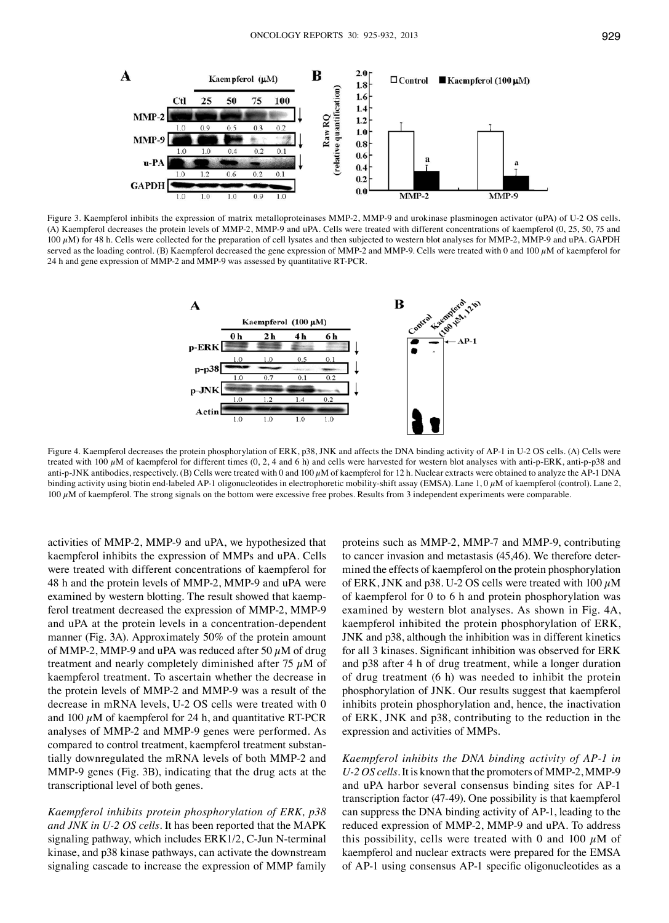

Figure 3. Kaempferol inhibits the expression of matrix metalloproteinases MMP-2, MMP-9 and urokinase plasminogen activator (uPA) of U-2 OS cells. (A) Kaempferol decreases the protein levels of MMP-2, MMP-9 and uPA. Cells were treated with different concentrations of kaempferol (0, 25, 50, 75 and  $100 \mu$ M) for 48 h. Cells were collected for the preparation of cell lysates and then subjected to western blot analyses for MMP-2, MMP-9 and uPA. GAPDH served as the loading control. (B) Kaempferol decreased the gene expression of MMP-2 and MMP-9. Cells were treated with 0 and 100  $\mu$ M of kaempferol for 24 h and gene expression of MMP-2 and MMP-9 was assessed by quantitative RT-PCR.



Figure 4. Kaempferol decreases the protein phosphorylation of ERK, p38, JNK and affects the DNA binding activity of AP-1 in U-2 OS cells. (A) Cells were treated with 100  $\mu$ M of kaempferol for different times (0, 2, 4 and 6 h) and cells were harvested for western blot analyses with anti-p-ERK, anti-p-p38 and anti-p-JNK antibodies, respectively. (B) Cells were treated with 0 and  $100 \mu$ M of kaempferol for 12 h. Nuclear extracts were obtained to analyze the AP-1 DNA binding activity using biotin end-labeled AP-1 oligonucleotides in electrophoretic mobility-shift assay (EMSA). Lane 1, 0  $\mu$ M of kaempferol (control). Lane 2,  $100 \mu$ M of kaempferol. The strong signals on the bottom were excessive free probes. Results from 3 independent experiments were comparable.

activities of MMP-2, MMP-9 and uPA, we hypothesized that kaempferol inhibits the expression of MMPs and uPA. Cells were treated with different concentrations of kaempferol for 48 h and the protein levels of MMP-2, MMP-9 and uPA were examined by western blotting. The result showed that kaempferol treatment decreased the expression of MMP-2, MMP-9 and uPA at the protein levels in a concentration-dependent manner (Fig. 3A). Approximately 50% of the protein amount of MMP-2, MMP-9 and uPA was reduced after 50  $\mu$ M of drug treatment and nearly completely diminished after 75  $\mu$ M of kaempferol treatment. To ascertain whether the decrease in the protein levels of MMP-2 and MMP-9 was a result of the decrease in mRNA levels, U-2 OS cells were treated with 0 and 100  $\mu$ M of kaempferol for 24 h, and quantitative RT-PCR analyses of MMP-2 and MMP-9 genes were performed. As compared to control treatment, kaempferol treatment substantially downregulated the mRNA levels of both MMP-2 and MMP-9 genes (Fig. 3B), indicating that the drug acts at the transcriptional level of both genes.

*Kaempferol inhibits protein phosphorylation of ERK, p38 and JNK in U-2 OS cells.* It has been reported that the MAPK signaling pathway, which includes ERK1/2, C-Jun N-terminal kinase, and p38 kinase pathways, can activate the downstream signaling cascade to increase the expression of MMP family

proteins such as MMP-2, MMP-7 and MMP-9, contributing to cancer invasion and metastasis (45,46). We therefore determined the effects of kaempferol on the protein phosphorylation of ERK, JNK and p38. U-2 OS cells were treated with  $100 \mu M$ of kaempferol for 0 to 6 h and protein phosphorylation was examined by western blot analyses. As shown in Fig. 4A, kaempferol inhibited the protein phosphorylation of ERK, JNK and p38, although the inhibition was in different kinetics for all 3 kinases. Significant inhibition was observed for ERK and p38 after 4 h of drug treatment, while a longer duration of drug treatment (6 h) was needed to inhibit the protein phosphorylation of JNK. Our results suggest that kaempferol inhibits protein phosphorylation and, hence, the inactivation of ERK, JNK and p38, contributing to the reduction in the expression and activities of MMPs.

*Kaempferol inhibits the DNA binding activity of AP-1 in U-2 OS cells.* It is known that the promoters of MMP-2, MMP-9 and uPA harbor several consensus binding sites for AP-1 transcription factor (47-49). One possibility is that kaempferol can suppress the DNA binding activity of AP-1, leading to the reduced expression of MMP-2, MMP-9 and uPA. To address this possibility, cells were treated with 0 and 100  $\mu$ M of kaempferol and nuclear extracts were prepared for the EMSA of AP-1 using consensus AP-1 specific oligonucleotides as a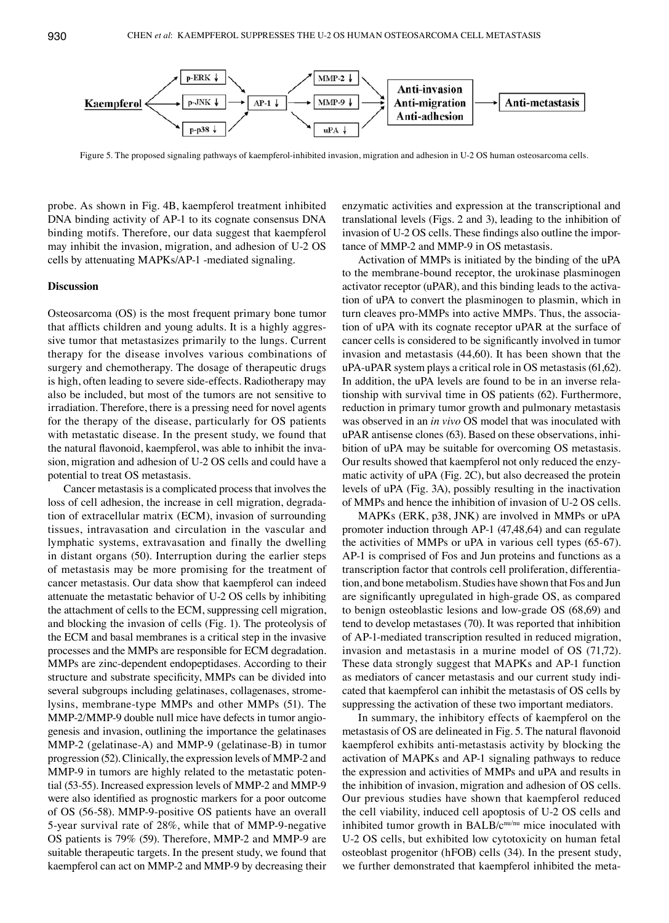

Figure 5. The proposed signaling pathways of kaempferol-inhibited invasion, migration and adhesion in U-2 OS human osteosarcoma cells.

probe. As shown in Fig. 4B, kaempferol treatment inhibited DNA binding activity of AP-1 to its cognate consensus DNA binding motifs. Therefore, our data suggest that kaempferol may inhibit the invasion, migration, and adhesion of U-2 OS cells by attenuating MAPKs/AP-1 -mediated signaling.

# **Discussion**

Osteosarcoma (OS) is the most frequent primary bone tumor that afflicts children and young adults. It is a highly aggressive tumor that metastasizes primarily to the lungs. Current therapy for the disease involves various combinations of surgery and chemotherapy. The dosage of therapeutic drugs is high, often leading to severe side-effects. Radiotherapy may also be included, but most of the tumors are not sensitive to irradiation. Therefore, there is a pressing need for novel agents for the therapy of the disease, particularly for OS patients with metastatic disease. In the present study, we found that the natural flavonoid, kaempferol, was able to inhibit the invasion, migration and adhesion of U-2 OS cells and could have a potential to treat OS metastasis.

Cancer metastasis is a complicated process that involves the loss of cell adhesion, the increase in cell migration, degradation of extracellular matrix (ECM), invasion of surrounding tissues, intravasation and circulation in the vascular and lymphatic systems, extravasation and finally the dwelling in distant organs (50). Interruption during the earlier steps of metastasis may be more promising for the treatment of cancer metastasis. Our data show that kaempferol can indeed attenuate the metastatic behavior of U-2 OS cells by inhibiting the attachment of cells to the ECM, suppressing cell migration, and blocking the invasion of cells (Fig. 1). The proteolysis of the ECM and basal membranes is a critical step in the invasive processes and the MMPs are responsible for ECM degradation. MMPs are zinc-dependent endopeptidases. According to their structure and substrate specificity, MMPs can be divided into several subgroups including gelatinases, collagenases, stromelysins, membrane-type MMPs and other MMPs (51). The MMP-2/MMP-9 double null mice have defects in tumor angiogenesis and invasion, outlining the importance the gelatinases MMP-2 (gelatinase-A) and MMP-9 (gelatinase-B) in tumor progression (52). Clinically, the expression levels of MMP-2 and MMP-9 in tumors are highly related to the metastatic potential (53-55). Increased expression levels of MMP-2 and MMP-9 were also identified as prognostic markers for a poor outcome of OS (56-58). MMP-9-positive OS patients have an overall 5-year survival rate of 28%, while that of MMP-9-negative OS patients is 79% (59). Therefore, MMP-2 and MMP-9 are suitable therapeutic targets. In the present study, we found that kaempferol can act on MMP-2 and MMP-9 by decreasing their enzymatic activities and expression at the transcriptional and translational levels (Figs. 2 and 3), leading to the inhibition of invasion of U-2 OS cells. These findings also outline the importance of MMP-2 and MMP-9 in OS metastasis.

Activation of MMPs is initiated by the binding of the uPA to the membrane-bound receptor, the urokinase plasminogen activator receptor (uPAR), and this binding leads to the activation of uPA to convert the plasminogen to plasmin, which in turn cleaves pro-MMPs into active MMPs. Thus, the association of uPA with its cognate receptor uPAR at the surface of cancer cells is considered to be significantly involved in tumor invasion and metastasis (44,60). It has been shown that the uPA-uPAR system plays a critical role in OS metastasis(61,62). In addition, the uPA levels are found to be in an inverse relationship with survival time in OS patients (62). Furthermore, reduction in primary tumor growth and pulmonary metastasis was observed in an *in vivo* OS model that was inoculated with uPAR antisense clones (63). Based on these observations, inhibition of uPA may be suitable for overcoming OS metastasis. Our results showed that kaempferol not only reduced the enzymatic activity of uPA (Fig. 2C), but also decreased the protein levels of uPA (Fig. 3A), possibly resulting in the inactivation of MMPs and hence the inhibition of invasion of U-2 OS cells.

MAPKs (ERK, p38, JNK) are involved in MMPs or uPA promoter induction through AP-1 (47,48,64) and can regulate the activities of MMPs or uPA in various cell types (65-67). AP-1 is comprised of Fos and Jun proteins and functions as a transcription factor that controls cell proliferation, differentiation, and bone metabolism. Studies have shown that Fos and Jun are significantly upregulated in high-grade OS, as compared to benign osteoblastic lesions and low-grade OS (68,69) and tend to develop metastases (70). It was reported that inhibition of AP-1-mediated transcription resulted in reduced migration, invasion and metastasis in a murine model of OS (71,72). These data strongly suggest that MAPKs and AP-1 function as mediators of cancer metastasis and our current study indicated that kaempferol can inhibit the metastasis of OS cells by suppressing the activation of these two important mediators.

In summary, the inhibitory effects of kaempferol on the metastasis of OS are delineated in Fig. 5. The natural flavonoid kaempferol exhibits anti-metastasis activity by blocking the activation of MAPKs and AP-1 signaling pathways to reduce the expression and activities of MMPs and uPA and results in the inhibition of invasion, migration and adhesion of OS cells. Our previous studies have shown that kaempferol reduced the cell viability, induced cell apoptosis of U-2 OS cells and inhibited tumor growth in BALB/c<sup>nu/nu</sup> mice inoculated with U-2 OS cells, but exhibited low cytotoxicity on human fetal osteoblast progenitor (hFOB) cells (34). In the present study, we further demonstrated that kaempferol inhibited the meta-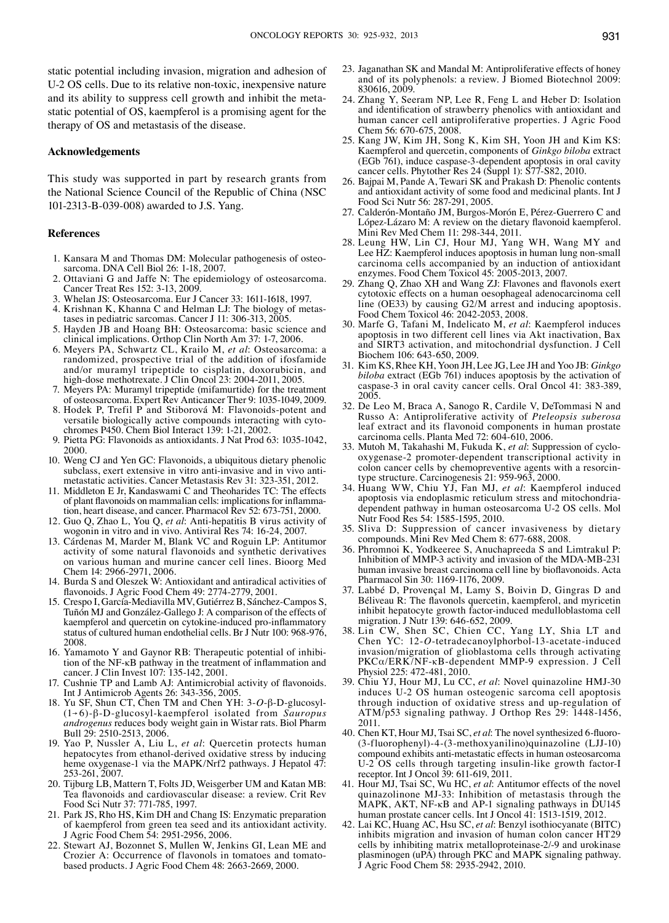static potential including invasion, migration and adhesion of U-2 OS cells. Due to its relative non-toxic, inexpensive nature and its ability to suppress cell growth and inhibit the metastatic potential of OS, kaempferol is a promising agent for the therapy of OS and metastasis of the disease.

### **Acknowledgements**

This study was supported in part by research grants from the National Science Council of the Republic of China (NSC 101-2313-B-039-008) awarded to J.S. Yang.

#### **References**

- 1. Kansara M and Thomas DM: Molecular pathogenesis of osteosarcoma. DNA Cell Biol 26: 1-18, 2007.
- Ottaviani G and Jaffe N: The epidemiology of osteosarcoma. Cancer Treat Res 152: 3-13, 2009.
- 3. Whelan JS: Osteosarcoma. Eur J Cancer 33: 1611-1618, 1997.
- 4. Krishnan K, Khanna C and Helman LJ: The biology of metastases in pediatric sarcomas. Cancer J 11: 306-313, 2005.
- 5. Hayden JB and Hoang BH: Osteosarcoma: basic science and clinical implications. Orthop Clin North Am 37: 1-7, 2006.
- 6. Meyers PA, Schwartz CL, Krailo M, *et al*: Osteosarcoma: a randomized, prospective trial of the addition of ifosfamide and/or muramyl tripeptide to cisplatin, doxorubicin, and high-dose methotrexate. J Clin Oncol 23: 2004-2011, 2005.
- 7. Meyers PA: Muramyl tripeptide (mifamurtide) for the treatment of osteosarcoma. Expert Rev Anticancer Ther 9: 1035-1049, 2009.
- 8. Hodek P, Trefil P and Stiborová M: Flavonoids-potent and versatile biologically active compounds interacting with cytochromes P450. Chem Biol Interact 139: 1-21, 2002.
- 9. Pietta PG: Flavonoids as antioxidants. J Nat Prod 63: 1035-1042, 2000.
- 10. Weng CJ and Yen GC: Flavonoids, a ubiquitous dietary phenolic subclass, exert extensive in vitro anti-invasive and in vivo antimetastatic activities. Cancer Metastasis Rev 31: 323-351, 2012.
- 11. Middleton E Jr, Kandaswami C and Theoharides TC: The effects of plant flavonoids on mammalian cells: implications for inflammation, heart disease, and cancer. Pharmacol Rev 52: 673-751, 2000.
- 12. Guo Q, Zhao L, You Q, *et al*: Anti-hepatitis B virus activity of wogonin in vitro and in vivo. Antiviral Res 74: 16-24, 2007.
- 13. Cárdenas M, Marder M, Blank VC and Roguin LP: Antitumor activity of some natural flavonoids and synthetic derivatives on various human and murine cancer cell lines. Bioorg Med Chem 14: 2966-2971, 2006.
- 14. Burda S and Oleszek W: Antioxidant and antiradical activities of flavonoids. J Agric Food Chem 49: 2774-2779, 2001.
- 15. Crespo I, García-Mediavilla MV, Gutiérrez B, Sánchez-Campos S, Tuñón MJ and González-Gallego J: A comparison of the effects of kaempferol and quercetin on cytokine-induced pro-inflammatory status of cultured human endothelial cells. Br J Nutr 100: 968-976, 2008.
- 16. Yamamoto Y and Gaynor RB: Therapeutic potential of inhibi- tion of the NF-κB pathway in the treatment of inflammation and cancer. J Clin Invest 107: 135-142, 2001.
- 17. Cushnie TP and Lamb AJ: Antimicrobial activity of flavonoids. Int J Antimicrob Agents 26: 343-356, 2005.
- 18. Yu SF, Shun CT, Chen TM and Chen YH: 3-*O*-β-D-glucosyl- (1→6)-β-D-glucosyl-kaempferol isolated from *Sauropus androgenus* reduces body weight gain in Wistar rats. Biol Pharm Bull 29: 2510-2513, 2006.
- 19. Yao P, Nussler A, Liu L, *et al*: Quercetin protects human hepatocytes from ethanol-derived oxidative stress by inducing heme oxygenase-1 via the MAPK/Nrf2 pathways. J Hepatol 47: 253-261, 2007.
- 20. Tijburg LB, Mattern T, Folts JD, Weisgerber UM and Katan MB: Tea flavonoids and cardiovascular disease: a review. Crit Rev Food Sci Nutr 37: 771-785, 1997.
- 21. Park JS, Rho HS, Kim DH and Chang IS: Enzymatic preparation of kaempferol from green tea seed and its antioxidant activity. J Agric Food Chem 54: 2951-2956, 2006.
- 22. Stewart AJ, Bozonnet S, Mullen W, Jenkins GI, Lean ME and Crozier A: Occurrence of flavonols in tomatoes and tomatobased products. J Agric Food Chem 48: 2663-2669, 2000.
- 23. Jaganathan SK and Mandal M: Antiproliferative effects of honey and of its polyphenols: a review. J Biomed Biotechnol 2009: 830616, 2009.
- 24. Zhang Y, Seeram NP, Lee R, Feng L and Heber D: Isolation and identification of strawberry phenolics with antioxidant and human cancer cell antiproliferative properties. J Agric Food Chem 56: 670-675, 2008.
- 25. Kang JW, Kim JH, Song K, Kim SH, Yoon JH and Kim KS: Kaempferol and quercetin, components of *Ginkgo biloba* extract (EGb 761), induce caspase-3-dependent apoptosis in oral cavity cancer cells. Phytother Res 24 (Suppl 1): S77-S82, 2010.
- 26. Bajpai M, Pande A, Tewari SK and Prakash D: Phenolic contents and antioxidant activity of some food and medicinal plants. Int J Food Sci Nutr 56: 287-291, 2005.
- 27. Calderón-Montaño JM, Burgos-Morón E, Pérez-Guerrero C and López-Lázaro M: A review on the dietary flavonoid kaempferol. Mini Rev Med Chem 11: 298-344, 2011.
- 28. Leung HW, Lin CJ, Hour MJ, Yang WH, Wang MY and Lee HZ: Kaempferol induces apoptosis in human lung non-small carcinoma cells accompanied by an induction of antioxidant enzymes. Food Chem Toxicol 45: 2005-2013, 2007.
- 29. Zhang Q, Zhao XH and Wang ZJ: Flavones and flavonols exert cytotoxic effects on a human oesophageal adenocarcinoma cell line (OE33) by causing G2/M arrest and inducing apoptosis. Food Chem Toxicol 46: 2042-2053, 2008.
- 30. Marfe G, Tafani M, Indelicato M, *et al*: Kaempferol induces apoptosis in two different cell lines via Akt inactivation, Bax and SIRT3 activation, and mitochondrial dysfunction. J Cell Biochem 106: 643-650, 2009.
- 31. Kim KS, Rhee KH, Yoon JH, Lee JG, Lee JH and Yoo JB: *Ginkgo biloba* extract (EGb 761) induces apoptosis by the activation of caspase-3 in oral cavity cancer cells. Oral Oncol 41: 383-389, 2005.
- 32. De Leo M, Braca A, Sanogo R, Cardile V, DeTommasi N and Russo A: Antiproliferative activity of *Pteleopsis suberosa* leaf extract and its flavonoid components in human prostate carcinoma cells. Planta Med 72: 604-610, 2006.
- 33. Mutoh M, Takahashi M, Fukuda K, *et al*: Suppression of cyclooxygenase-2 promoter-dependent transcriptional activity in colon cancer cells by chemopreventive agents with a resorcintype structure. Carcinogenesis 21: 959-963, 2000.
- 34. Huang WW, Chiu YJ, Fan MJ, *et al*: Kaempferol induced apoptosis via endoplasmic reticulum stress and mitochondriadependent pathway in human osteosarcoma U-2 OS cells. Mol Nutr Food Res 54: 1585-1595, 2010.
- 35. Sliva D: Suppression of cancer invasiveness by dietary compounds. Mini Rev Med Chem 8: 677-688, 2008.
- 36. Phromnoi K, Yodkeeree S, Anuchapreeda S and Limtrakul P: Inhibition of MMP-3 activity and invasion of the MDA-MB-231 human invasive breast carcinoma cell line by bioflavonoids. Acta Pharmacol Sin 30: 1169-1176, 2009.
- 37. Labbé D, Provençal M, Lamy S, Boivin D, Gingras D and Béliveau R: The flavonols quercetin, kaempferol, and myricetin inhibit hepatocyte growth factor-induced medulloblastoma cell migration. J Nutr 139: 646-652, 2009.
- 38. Lin CW, Shen SC, Chien CC, Yang LY, Shia LT and Chen YC: 12-*O*-tetradecanoylphorbol-13-acetate-induced invasion/migration of glioblastoma cells through activating PKCα/ERK/NF-κB-dependent MMP-9 expression. J Cell Physiol 225: 472-481, 2010.
- 39. Chiu YJ, Hour MJ, Lu CC, *et al*: Novel quinazoline HMJ-30 induces U-2 OS human osteogenic sarcoma cell apoptosis through induction of oxidative stress and up-regulation of ATM/p53 signaling pathway. J Orthop Res 29: 1448-1456, 2011.
- 40. Chen KT, Hour MJ, Tsai SC, *et al*: The novel synthesized 6-fluoro- (3-fluorophenyl)-4-(3-methoxyanilino)quinazoline (LJJ-10) compound exhibits anti-metastatic effects in human osteosarcoma U-2 OS cells through targeting insulin-like growth factor-I receptor. Int J Oncol 39: 611-619, 2011.
- 41. Hour MJ, Tsai SC, Wu HC, *et al*: Antitumor effects of the novel quinazolinone MJ-33: Inhibition of metastasis through the MAPK, AKT, NF-κB and AP-1 signaling pathways in DU145 human prostate cancer cells. Int J Oncol 41: 1513-1519, 2012.
- 42. Lai KC, Huang AC, Hsu SC, *et al*: Benzyl isothiocyanate (BITC) inhibits migration and invasion of human colon cancer HT29 cells by inhibiting matrix metalloproteinase-2/-9 and urokinase plasminogen (uPA) through PKC and MAPK signaling pathway. J Agric Food Chem 58: 2935-2942, 2010.